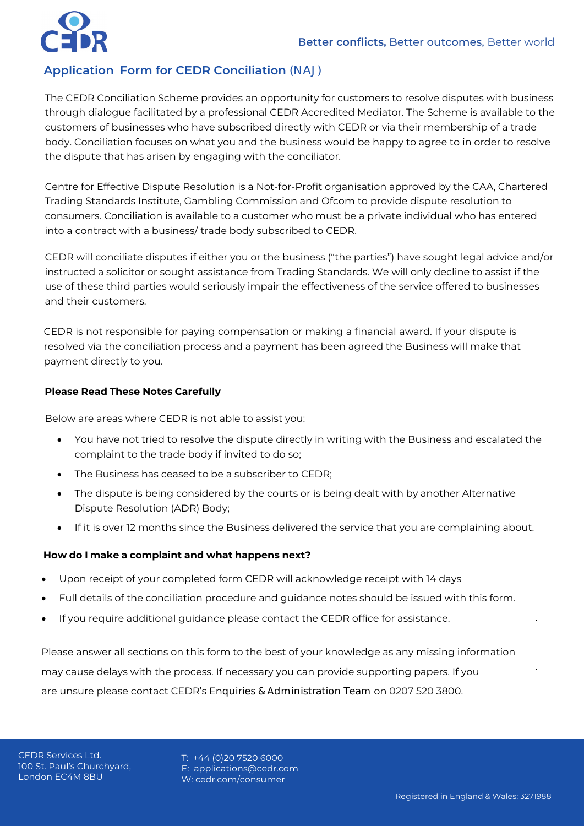# **Application Form for CEDR Conciliation** (NAJ)

The CEDR Conciliation Scheme provides an opportunity for customers to resolve disputes with business through dialogue facilitated by a professional CEDR Accredited Mediator. The Scheme is available to the customers of businesses who have subscribed directly with CEDR or via their membership of a trade body. Conciliation focuses on what you and the business would be happy to agree to in order to resolve the dispute that has arisen by engaging with the conciliator.

Centre for Effective Dispute Resolution is a Not-for-Profit organisation approved by the CAA, Chartered Trading Standards Institute, Gambling Commission and Ofcom to provide dispute resolution to consumers. Conciliation is available to a customer who must be a private individual who has entered into a contract with a business/ trade body subscribed to CEDR.

CEDR will conciliate disputes if either you or the business ("the parties") have sought legal advice and/or instructed a solicitor or sought assistance from Trading Standards. We will only decline to assist if the use of these third parties would seriously impair the effectiveness of the service offered to businesses and their customers.

CEDR is not responsible for paying compensation or making a financial award. If your dispute is resolved via the conciliation process and a payment has been agreed the Business will make that payment directly to you.

#### **Please Read These Notes Carefully**

Below are areas where CEDR is not able to assist you:

- You have not tried to resolve the dispute directly in writing with the Business and escalated the complaint to the trade body if invited to do so;
- The Business has ceased to be a subscriber to CEDR;
- The dispute is being considered by the courts or is being dealt with by another Alternative Dispute Resolution (ADR) Body;
- If it is over 12 months since the Business delivered the service that you are complaining about.

#### **How do I make a complaint and what happens next?**

- Upon receipt of your completed form CEDR will acknowledge receipt with 14 days
- Full details of the conciliation procedure and guidance notes should be issued with this form.
- If you require additional quidance please contact the CEDR office for assistance.

Please answer all sections on this form to the best of your knowledge as any missing information may cause delays with the process. If necessary you can provide supporting papers. If you are unsure please contact CEDR's Enquiries & Administration Team on 0207 520 3800.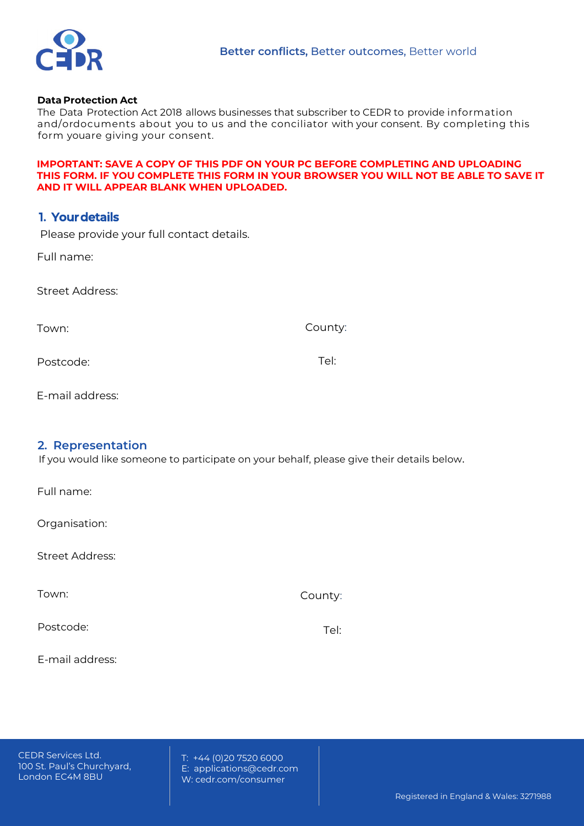

#### **Data Protection Act**

The Data Protection Act 2018 allows businesses that subscriber to CEDR to provide information and/ordocuments about you to us and the conciliator with your consent. By completing this form youare giving your consent.

#### **IMPORTANT: SAVE A COPY OF THIS PDF ON YOUR PC BEFORE COMPLETING AND UPLOADING THIS FORM. IF YOU COMPLETE THIS FORM IN YOUR BROWSER YOU WILL NOT BE ABLE TO SAVE IT AND IT WILL APPEAR BLANK WHEN UPLOADED.**

## **1. Yourdetails**

Please provide your full contact details.

Full name:

Street Address:

Town:

County:

Postcode:

Tel:

E-mail address:

## **2. Representation**

If you would like someone to participate on your behalf, please give their details below.

Full name:

Organisation:

Street Address:

Town:

County:

Postcode:

Tel:

E-mail address:

CEDR Services Ltd. 100 St. Paul's Churchyard, London EC4M 8BU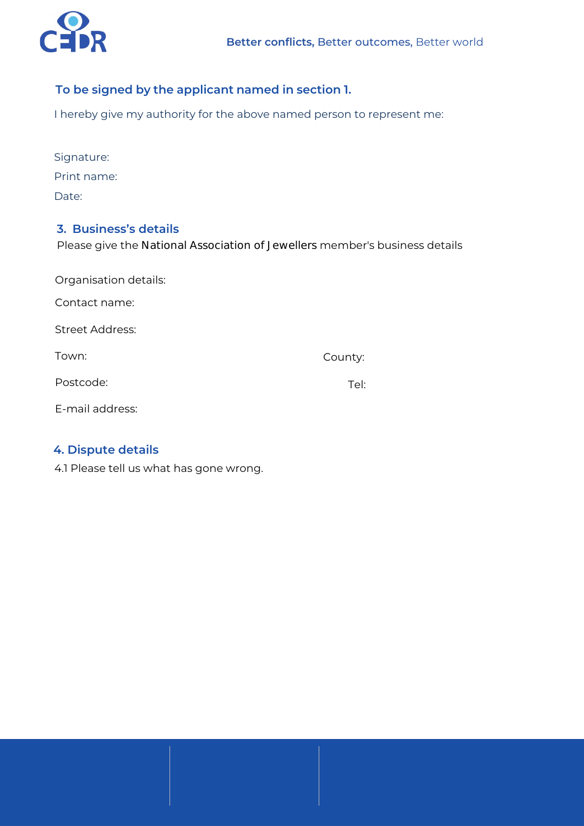

## **To be signed by the applicant named in section 1.**

I hereby give my authority for the above named person to represent me:

| Signature:  |
|-------------|
| Print name: |
| Date:       |

## **3. Business's details**

Please give the National Association of Jewellers member's business details

| Organisation details:  |         |  |
|------------------------|---------|--|
| Contact name:          |         |  |
| <b>Street Address:</b> |         |  |
| Town:                  | County: |  |
| Postcode:              | Tel:    |  |
| E-mail address:        |         |  |

# **4. Dispute details**

4.1 Please tell us what has gone wrong.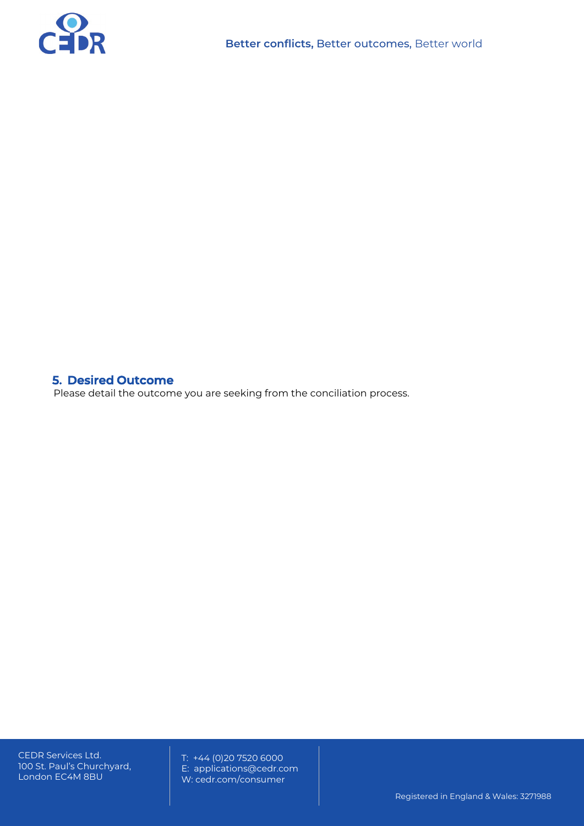

# **5. Desired Outcome**

Please detail the outcome you are seeking from the conciliation process.

CEDR Services Ltd. 100 St. Paul's Churchyard, London EC4M 8BU